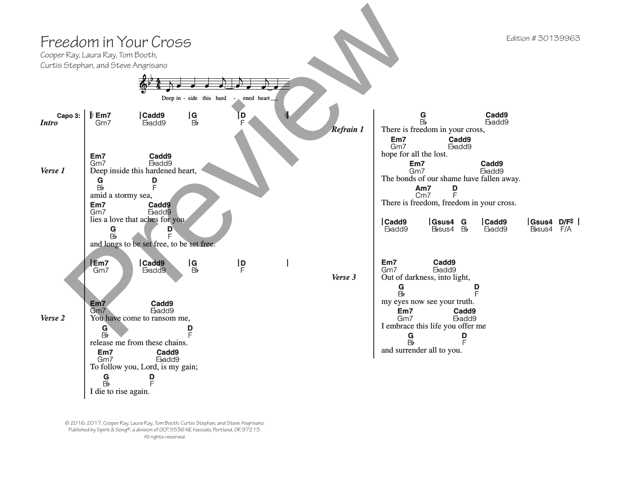

© 2016, 2017, Cooper Ray, Laura Ray, Tom Booth, Curtis Stephan, and Steve Angrisano. Published by Spirit & Song®, a division of OCP, 5536 NE Hassalo, Portland, OR 97213. All rights reserved.